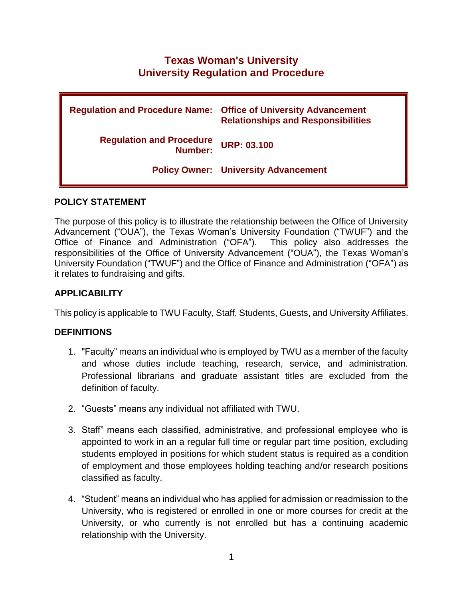# **Texas Woman's University University Regulation and Procedure**

| <b>Regulation and Procedure Name:</b>      | <b>Office of University Advancement</b><br><b>Relationships and Responsibilities</b> |
|--------------------------------------------|--------------------------------------------------------------------------------------|
| <b>Regulation and Procedure</b><br>Number: | <b>URP: 03.100</b>                                                                   |
|                                            | <b>Policy Owner: University Advancement</b>                                          |

## **POLICY STATEMENT**

The purpose of this policy is to illustrate the relationship between the Office of University Advancement ("OUA"), the Texas Woman's University Foundation ("TWUF") and the Office of Finance and Administration ("OFA"). This policy also addresses the responsibilities of the Office of University Advancement ("OUA"), the Texas Woman's University Foundation ("TWUF") and the Office of Finance and Administration ("OFA") as it relates to fundraising and gifts.

## **APPLICABILITY**

This policy is applicable to TWU Faculty, Staff, Students, Guests, and University Affiliates.

### **DEFINITIONS**

- 1. "Faculty" means an individual who is employed by TWU as a member of the faculty and whose duties include teaching, research, service, and administration. Professional librarians and graduate assistant titles are excluded from the definition of faculty.
- 2. "Guests" means any individual not affiliated with TWU.
- 3. Staff" means each classified, administrative, and professional employee who is appointed to work in an a regular full time or regular part time position, excluding students employed in positions for which student status is required as a condition of employment and those employees holding teaching and/or research positions classified as faculty.
- 4. "Student" means an individual who has applied for admission or readmission to the University, who is registered or enrolled in one or more courses for credit at the University, or who currently is not enrolled but has a continuing academic relationship with the University.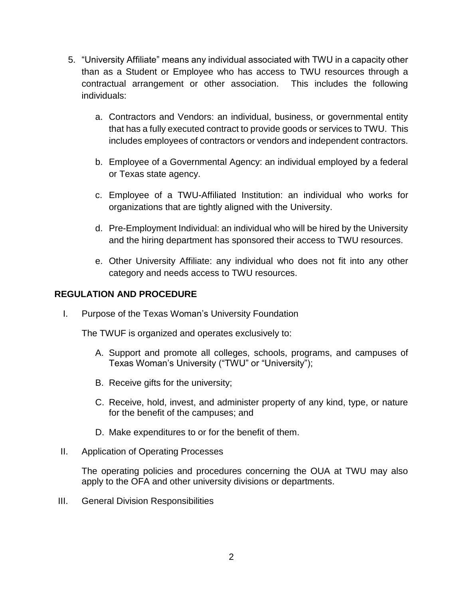- 5. "University Affiliate" means any individual associated with TWU in a capacity other than as a Student or Employee who has access to TWU resources through a contractual arrangement or other association. This includes the following individuals:
	- a. Contractors and Vendors: an individual, business, or governmental entity that has a fully executed contract to provide goods or services to TWU. This includes employees of contractors or vendors and independent contractors.
	- b. Employee of a Governmental Agency: an individual employed by a federal or Texas state agency.
	- c. Employee of a TWU-Affiliated Institution: an individual who works for organizations that are tightly aligned with the University.
	- d. Pre-Employment Individual: an individual who will be hired by the University and the hiring department has sponsored their access to TWU resources.
	- e. Other University Affiliate: any individual who does not fit into any other category and needs access to TWU resources.

# **REGULATION AND PROCEDURE**

I. Purpose of the Texas Woman's University Foundation

The TWUF is organized and operates exclusively to:

- A. Support and promote all colleges, schools, programs, and campuses of Texas Woman's University ("TWU" or "University");
- B. Receive gifts for the university;
- C. Receive, hold, invest, and administer property of any kind, type, or nature for the benefit of the campuses; and
- D. Make expenditures to or for the benefit of them.
- II. Application of Operating Processes

The operating policies and procedures concerning the OUA at TWU may also apply to the OFA and other university divisions or departments.

III. General Division Responsibilities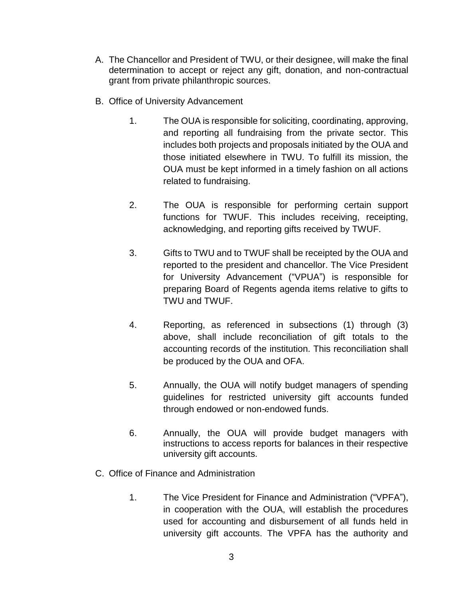- A. The Chancellor and President of TWU, or their designee, will make the final determination to accept or reject any gift, donation, and non-contractual grant from private philanthropic sources.
- B. Office of University Advancement
	- 1. The OUA is responsible for soliciting, coordinating, approving, and reporting all fundraising from the private sector. This includes both projects and proposals initiated by the OUA and those initiated elsewhere in TWU. To fulfill its mission, the OUA must be kept informed in a timely fashion on all actions related to fundraising.
	- 2. The OUA is responsible for performing certain support functions for TWUF. This includes receiving, receipting, acknowledging, and reporting gifts received by TWUF.
	- 3. Gifts to TWU and to TWUF shall be receipted by the OUA and reported to the president and chancellor. The Vice President for University Advancement ("VPUA") is responsible for preparing Board of Regents agenda items relative to gifts to TWU and TWUF.
	- 4. Reporting, as referenced in subsections (1) through (3) above, shall include reconciliation of gift totals to the accounting records of the institution. This reconciliation shall be produced by the OUA and OFA.
	- 5. Annually, the OUA will notify budget managers of spending guidelines for restricted university gift accounts funded through endowed or non-endowed funds.
	- 6. Annually, the OUA will provide budget managers with instructions to access reports for balances in their respective university gift accounts.
- C. Office of Finance and Administration
	- 1. The Vice President for Finance and Administration ("VPFA"), in cooperation with the OUA, will establish the procedures used for accounting and disbursement of all funds held in university gift accounts. The VPFA has the authority and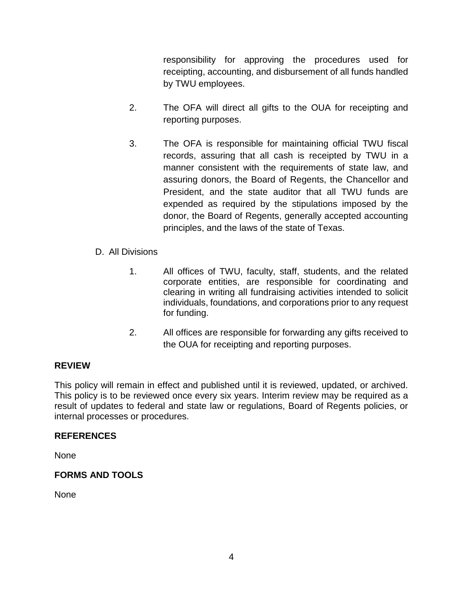responsibility for approving the procedures used for receipting, accounting, and disbursement of all funds handled by TWU employees.

- 2. The OFA will direct all gifts to the OUA for receipting and reporting purposes.
- 3. The OFA is responsible for maintaining official TWU fiscal records, assuring that all cash is receipted by TWU in a manner consistent with the requirements of state law, and assuring donors, the Board of Regents, the Chancellor and President, and the state auditor that all TWU funds are expended as required by the stipulations imposed by the donor, the Board of Regents, generally accepted accounting principles, and the laws of the state of Texas.
- D. All Divisions
	- 1. All offices of TWU, faculty, staff, students, and the related corporate entities, are responsible for coordinating and clearing in writing all fundraising activities intended to solicit individuals, foundations, and corporations prior to any request for funding.
	- 2. All offices are responsible for forwarding any gifts received to the OUA for receipting and reporting purposes.

### **REVIEW**

This policy will remain in effect and published until it is reviewed, updated, or archived. This policy is to be reviewed once every six years. Interim review may be required as a result of updates to federal and state law or regulations, Board of Regents policies, or internal processes or procedures.

### **REFERENCES**

None

### **FORMS AND TOOLS**

None